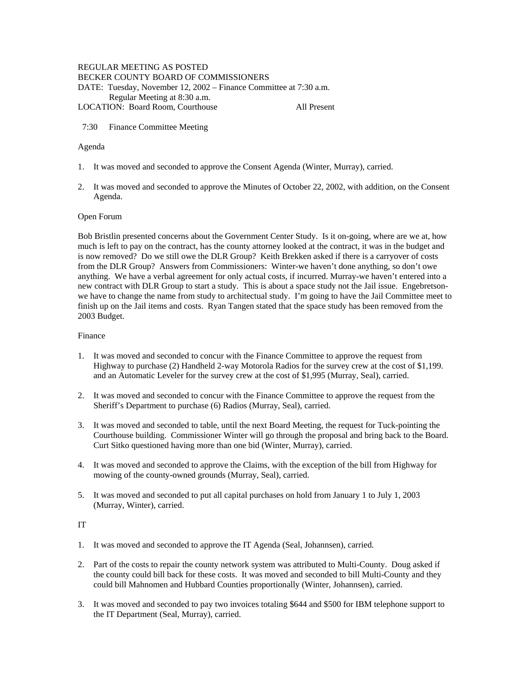# REGULAR MEETING AS POSTED

BECKER COUNTY BOARD OF COMMISSIONERS

DATE: Tuesday, November 12, 2002 – Finance Committee at 7:30 a.m.

Regular Meeting at 8:30 a.m.

LOCATION: Board Room, Courthouse All Present

7:30 Finance Committee Meeting

# Agenda

- 1. It was moved and seconded to approve the Consent Agenda (Winter, Murray), carried.
- 2. It was moved and seconded to approve the Minutes of October 22, 2002, with addition, on the Consent Agenda.

### Open Forum

Bob Bristlin presented concerns about the Government Center Study. Is it on-going, where are we at, how much is left to pay on the contract, has the county attorney looked at the contract, it was in the budget and is now removed? Do we still owe the DLR Group? Keith Brekken asked if there is a carryover of costs from the DLR Group? Answers from Commissioners: Winter-we haven't done anything, so don't owe anything. We have a verbal agreement for only actual costs, if incurred. Murray-we haven't entered into a new contract with DLR Group to start a study. This is about a space study not the Jail issue. Engebretsonwe have to change the name from study to architectual study. I'm going to have the Jail Committee meet to finish up on the Jail items and costs. Ryan Tangen stated that the space study has been removed from the 2003 Budget.

### Finance

- 1. It was moved and seconded to concur with the Finance Committee to approve the request from Highway to purchase (2) Handheld 2-way Motorola Radios for the survey crew at the cost of \$1,199. and an Automatic Leveler for the survey crew at the cost of \$1,995 (Murray, Seal), carried.
- 2. It was moved and seconded to concur with the Finance Committee to approve the request from the Sheriff's Department to purchase (6) Radios (Murray, Seal), carried.
- 3. It was moved and seconded to table, until the next Board Meeting, the request for Tuck-pointing the Courthouse building. Commissioner Winter will go through the proposal and bring back to the Board. Curt Sitko questioned having more than one bid (Winter, Murray), carried.
- 4. It was moved and seconded to approve the Claims, with the exception of the bill from Highway for mowing of the county-owned grounds (Murray, Seal), carried.
- 5. It was moved and seconded to put all capital purchases on hold from January 1 to July 1, 2003 (Murray, Winter), carried.

IT

- 1. It was moved and seconded to approve the IT Agenda (Seal, Johannsen), carried.
- 2. Part of the costs to repair the county network system was attributed to Multi-County. Doug asked if the county could bill back for these costs. It was moved and seconded to bill Multi-County and they could bill Mahnomen and Hubbard Counties proportionally (Winter, Johannsen), carried.
- 3. It was moved and seconded to pay two invoices totaling \$644 and \$500 for IBM telephone support to the IT Department (Seal, Murray), carried.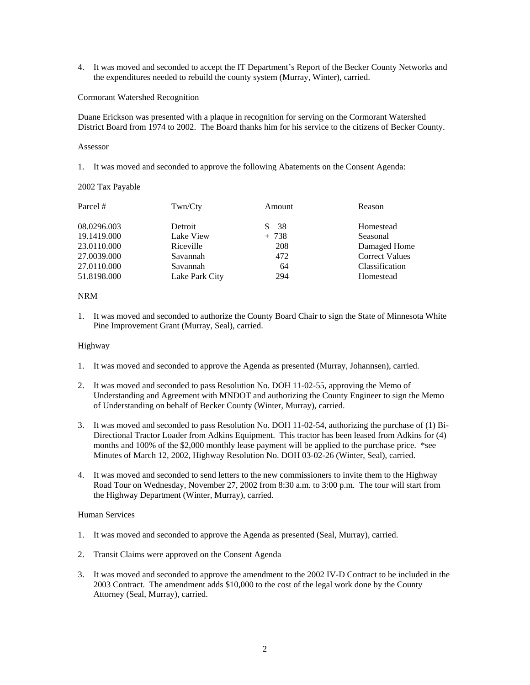4. It was moved and seconded to accept the IT Department's Report of the Becker County Networks and the expenditures needed to rebuild the county system (Murray, Winter), carried.

## Cormorant Watershed Recognition

Duane Erickson was presented with a plaque in recognition for serving on the Cormorant Watershed District Board from 1974 to 2002. The Board thanks him for his service to the citizens of Becker County.

### Assessor

1. It was moved and seconded to approve the following Abatements on the Consent Agenda:

## 2002 Tax Payable

| Parcel #    | Twn/Cty        | Amount  | Reason                |
|-------------|----------------|---------|-----------------------|
| 08.0296.003 | Detroit        | \$38    | Homestead             |
| 19.1419.000 | Lake View      | $+ 738$ | Seasonal              |
| 23.0110.000 | Riceville      | 208     | Damaged Home          |
| 27.0039.000 | Savannah       | 472     | <b>Correct Values</b> |
| 27.0110.000 | Savannah       | 64      | Classification        |
| 51.8198.000 | Lake Park City | 294     | Homestead             |

# NRM

1. It was moved and seconded to authorize the County Board Chair to sign the State of Minnesota White Pine Improvement Grant (Murray, Seal), carried.

# Highway

- 1. It was moved and seconded to approve the Agenda as presented (Murray, Johannsen), carried.
- 2. It was moved and seconded to pass Resolution No. DOH 11-02-55, approving the Memo of Understanding and Agreement with MNDOT and authorizing the County Engineer to sign the Memo of Understanding on behalf of Becker County (Winter, Murray), carried.
- 3. It was moved and seconded to pass Resolution No. DOH 11-02-54, authorizing the purchase of (1) Bi-Directional Tractor Loader from Adkins Equipment. This tractor has been leased from Adkins for (4) months and 100% of the \$2,000 monthly lease payment will be applied to the purchase price. \*see Minutes of March 12, 2002, Highway Resolution No. DOH 03-02-26 (Winter, Seal), carried.
- 4. It was moved and seconded to send letters to the new commissioners to invite them to the Highway Road Tour on Wednesday, November 27, 2002 from 8:30 a.m. to 3:00 p.m. The tour will start from the Highway Department (Winter, Murray), carried.

# Human Services

- 1. It was moved and seconded to approve the Agenda as presented (Seal, Murray), carried.
- 2. Transit Claims were approved on the Consent Agenda
- 3. It was moved and seconded to approve the amendment to the 2002 IV-D Contract to be included in the 2003 Contract. The amendment adds \$10,000 to the cost of the legal work done by the County Attorney (Seal, Murray), carried.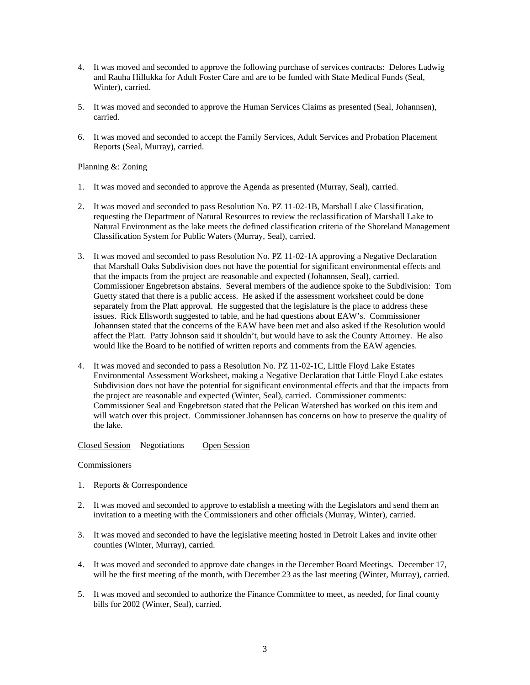- 4. It was moved and seconded to approve the following purchase of services contracts: Delores Ladwig and Rauha Hillukka for Adult Foster Care and are to be funded with State Medical Funds (Seal, Winter), carried.
- 5. It was moved and seconded to approve the Human Services Claims as presented (Seal, Johannsen), carried.
- 6. It was moved and seconded to accept the Family Services, Adult Services and Probation Placement Reports (Seal, Murray), carried.

# Planning &: Zoning

- 1. It was moved and seconded to approve the Agenda as presented (Murray, Seal), carried.
- 2. It was moved and seconded to pass Resolution No. PZ 11-02-1B, Marshall Lake Classification, requesting the Department of Natural Resources to review the reclassification of Marshall Lake to Natural Environment as the lake meets the defined classification criteria of the Shoreland Management Classification System for Public Waters (Murray, Seal), carried.
- 3. It was moved and seconded to pass Resolution No. PZ 11-02-1A approving a Negative Declaration that Marshall Oaks Subdivision does not have the potential for significant environmental effects and that the impacts from the project are reasonable and expected (Johannsen, Seal), carried. Commissioner Engebretson abstains. Several members of the audience spoke to the Subdivision: Tom Guetty stated that there is a public access. He asked if the assessment worksheet could be done separately from the Platt approval. He suggested that the legislature is the place to address these issues. Rick Ellsworth suggested to table, and he had questions about EAW's. Commissioner Johannsen stated that the concerns of the EAW have been met and also asked if the Resolution would affect the Platt. Patty Johnson said it shouldn't, but would have to ask the County Attorney. He also would like the Board to be notified of written reports and comments from the EAW agencies.
- 4. It was moved and seconded to pass a Resolution No. PZ 11-02-1C, Little Floyd Lake Estates Environmental Assessment Worksheet, making a Negative Declaration that Little Floyd Lake estates Subdivision does not have the potential for significant environmental effects and that the impacts from the project are reasonable and expected (Winter, Seal), carried. Commissioner comments: Commissioner Seal and Engebretson stated that the Pelican Watershed has worked on this item and will watch over this project. Commissioner Johannsen has concerns on how to preserve the quality of the lake.

Closed Session Negotiations Open Session

## **Commissioners**

- 1. Reports & Correspondence
- 2. It was moved and seconded to approve to establish a meeting with the Legislators and send them an invitation to a meeting with the Commissioners and other officials (Murray, Winter), carried.
- 3. It was moved and seconded to have the legislative meeting hosted in Detroit Lakes and invite other counties (Winter, Murray), carried.
- 4. It was moved and seconded to approve date changes in the December Board Meetings. December 17, will be the first meeting of the month, with December 23 as the last meeting (Winter, Murray), carried.
- 5. It was moved and seconded to authorize the Finance Committee to meet, as needed, for final county bills for 2002 (Winter, Seal), carried.